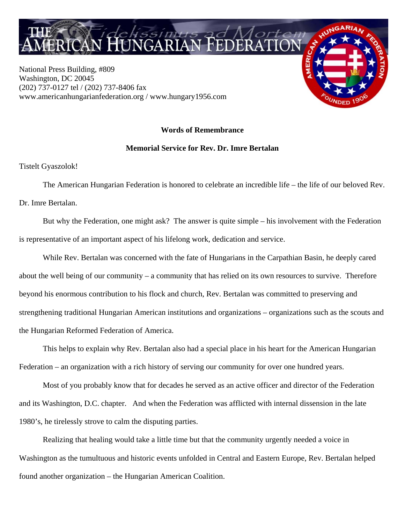

National Press Building, #809 Washington, DC 20045 (202) 737-0127 tel / (202) 737-8406 fax www.americanhungarianfederation.org / www.hungary1956.com

## **Words of Remembrance**

## **Memorial Service for Rev. Dr. Imre Bertalan**

Tistelt Gyaszolok!

The American Hungarian Federation is honored to celebrate an incredible life – the life of our beloved Rev. Dr. Imre Bertalan.

 But why the Federation, one might ask? The answer is quite simple – his involvement with the Federation is representative of an important aspect of his lifelong work, dedication and service.

 While Rev. Bertalan was concerned with the fate of Hungarians in the Carpathian Basin, he deeply cared about the well being of our community – a community that has relied on its own resources to survive. Therefore beyond his enormous contribution to his flock and church, Rev. Bertalan was committed to preserving and strengthening traditional Hungarian American institutions and organizations – organizations such as the scouts and the Hungarian Reformed Federation of America.

 This helps to explain why Rev. Bertalan also had a special place in his heart for the American Hungarian Federation – an organization with a rich history of serving our community for over one hundred years.

 Most of you probably know that for decades he served as an active officer and director of the Federation and its Washington, D.C. chapter. And when the Federation was afflicted with internal dissension in the late 1980's, he tirelessly strove to calm the disputing parties.

 Realizing that healing would take a little time but that the community urgently needed a voice in Washington as the tumultuous and historic events unfolded in Central and Eastern Europe, Rev. Bertalan helped found another organization – the Hungarian American Coalition.